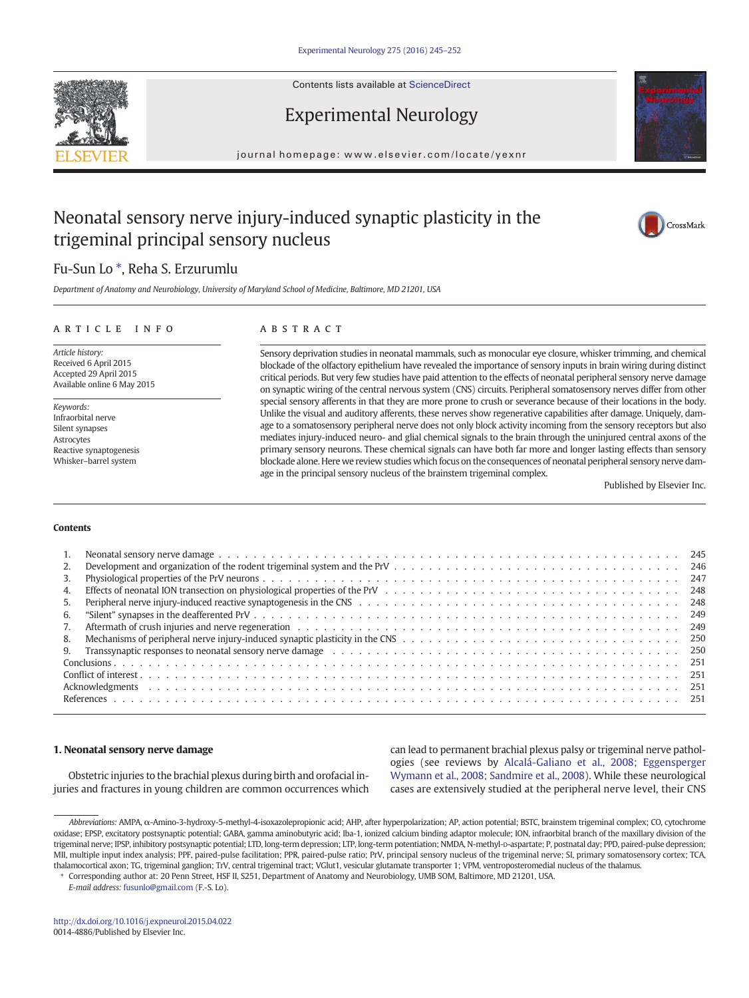Contents lists available at ScienceDirect





# Experimental Neurology

journal homepage: www.elsevier.com/locate/yexnr

# Neonatal sensory nerve injury-induced synaptic plasticity in the trigeminal principal sensory nucleus



## Fu-Sun Lo ⁎, Reha S. Erzurumlu

Department of Anatomy and Neurobiology, University of Maryland School of Medicine, Baltimore, MD 21201, USA

## article info abstract

Article history: Received 6 April 2015 Accepted 29 April 2015 Available online 6 May 2015

Keywords: Infraorbital nerve Silent synapses Astrocytes Reactive synaptogenesis Whisker–barrel system

Sensory deprivation studies in neonatal mammals, such as monocular eye closure, whisker trimming, and chemical blockade of the olfactory epithelium have revealed the importance of sensory inputs in brain wiring during distinct critical periods. But very few studies have paid attention to the effects of neonatal peripheral sensory nerve damage on synaptic wiring of the central nervous system (CNS) circuits. Peripheral somatosensory nerves differ from other special sensory afferents in that they are more prone to crush or severance because of their locations in the body. Unlike the visual and auditory afferents, these nerves show regenerative capabilities after damage. Uniquely, damage to a somatosensory peripheral nerve does not only block activity incoming from the sensory receptors but also mediates injury-induced neuro- and glial chemical signals to the brain through the uninjured central axons of the primary sensory neurons. These chemical signals can have both far more and longer lasting effects than sensory blockade alone. Here we review studies which focus on the consequences of neonatal peripheral sensory nerve damage in the principal sensory nucleus of the brainstem trigeminal complex.

Published by Elsevier Inc.

### Contents

| 3. |                                                                                                                                                                                                                                |
|----|--------------------------------------------------------------------------------------------------------------------------------------------------------------------------------------------------------------------------------|
| 4. |                                                                                                                                                                                                                                |
|    |                                                                                                                                                                                                                                |
| 6. |                                                                                                                                                                                                                                |
| 7. |                                                                                                                                                                                                                                |
|    |                                                                                                                                                                                                                                |
|    | 9. Transsynaptic responses to neonatal sensory nerve damage equal to contain the content of the content of the content of the content of the content of the content of the content of the content of the content of the conten |
|    |                                                                                                                                                                                                                                |
|    |                                                                                                                                                                                                                                |
|    |                                                                                                                                                                                                                                |
|    |                                                                                                                                                                                                                                |
|    |                                                                                                                                                                                                                                |

## 1. Neonatal sensory nerve damage

Obstetric injuries to the brachial plexus during birth and orofacial injuries and fractures in young children are common occurrences which can lead to permanent brachial plexus palsy or trigeminal nerve pathologies (see reviews by Alcalá-Galiano et al., 2008; Eggensperger Wymann et al., 2008; Sandmire et al., 2008). While these neurological cases are extensively studied at the peripheral nerve level, their CNS

⁎ Corresponding author at: 20 Penn Street, HSF II, S251, Department of Anatomy and Neurobiology, UMB SOM, Baltimore, MD 21201, USA.

E-mail address: fusunlo@gmail.com (F.-S. Lo).

Abbreviations: AMPA, α-Amino-3-hydroxy-5-methyl-4-isoxazolepropionic acid; AHP, after hyperpolarization; AP, action potential; BSTC, brainstem trigeminal complex; CO, cytochrome oxidase; EPSP, excitatory postsynaptic potential; GABA, gamma aminobutyric acid; Iba-1, ionized calcium binding adaptor molecule; ION, infraorbital branch of the maxillary division of the trigeminal nerve; IPSP, inhibitory postsynaptic potential; LTD, long-term depression; LTP, long-term potentiation; NMDA, N-methyl-D-aspartate; P, postnatal day; PPD, paired-pulse depression; MII, multiple input index analysis; PPF, paired-pulse facilitation; PPR, paired-pulse ratio; PrV, principal sensory nucleus of the trigeminal nerve; SI, primary somatosensory cortex; TCA, thalamocortical axon; TG, trigeminal ganglion; TrV, central trigeminal tract; VGlut1, vesicular glutamate transporter 1; VPM, ventroposteromedial nucleus of the thalamus. 251251251251<http://dx.doi.org/10.1016/j.expneurol.2015.04.022>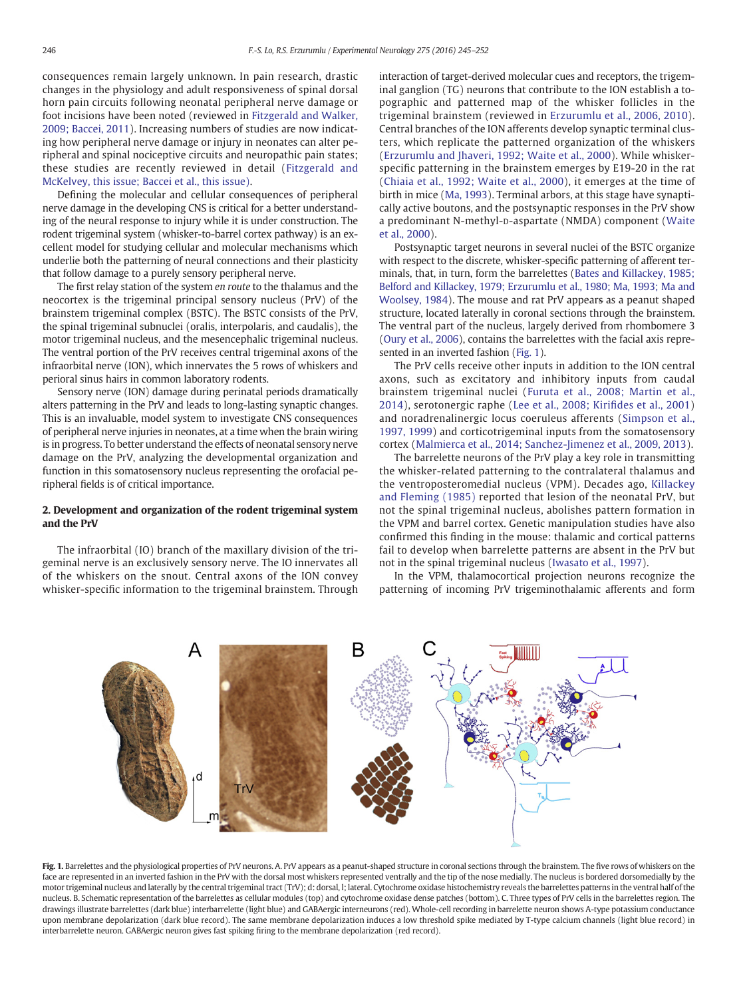consequences remain largely unknown. In pain research, drastic changes in the physiology and adult responsiveness of spinal dorsal horn pain circuits following neonatal peripheral nerve damage or foot incisions have been noted (reviewed in [Fitzgerald and Walker,](#page--1-0) [2009; Baccei, 2011](#page--1-0)). Increasing numbers of studies are now indicating how peripheral nerve damage or injury in neonates can alter peripheral and spinal nociceptive circuits and neuropathic pain states; these studies are recently reviewed in detail ([Fitzgerald and](#page--1-0) [McKelvey, this issue; Baccei et al., this issue\).](#page--1-0)

Defining the molecular and cellular consequences of peripheral nerve damage in the developing CNS is critical for a better understanding of the neural response to injury while it is under construction. The rodent trigeminal system (whisker-to-barrel cortex pathway) is an excellent model for studying cellular and molecular mechanisms which underlie both the patterning of neural connections and their plasticity that follow damage to a purely sensory peripheral nerve.

The first relay station of the system en route to the thalamus and the neocortex is the trigeminal principal sensory nucleus (PrV) of the brainstem trigeminal complex (BSTC). The BSTC consists of the PrV, the spinal trigeminal subnuclei (oralis, interpolaris, and caudalis), the motor trigeminal nucleus, and the mesencephalic trigeminal nucleus. The ventral portion of the PrV receives central trigeminal axons of the infraorbital nerve (ION), which innervates the 5 rows of whiskers and perioral sinus hairs in common laboratory rodents.

Sensory nerve (ION) damage during perinatal periods dramatically alters patterning in the PrV and leads to long-lasting synaptic changes. This is an invaluable, model system to investigate CNS consequences of peripheral nerve injuries in neonates, at a time when the brain wiring is in progress. To better understand the effects of neonatal sensory nerve damage on the PrV, analyzing the developmental organization and function in this somatosensory nucleus representing the orofacial peripheral fields is of critical importance.

## 2. Development and organization of the rodent trigeminal system and the PrV

The infraorbital (IO) branch of the maxillary division of the trigeminal nerve is an exclusively sensory nerve. The IO innervates all of the whiskers on the snout. Central axons of the ION convey whisker-specific information to the trigeminal brainstem. Through interaction of target-derived molecular cues and receptors, the trigeminal ganglion (TG) neurons that contribute to the ION establish a topographic and patterned map of the whisker follicles in the trigeminal brainstem (reviewed in [Erzurumlu et al., 2006, 2010](#page--1-0)). Central branches of the ION afferents develop synaptic terminal clusters, which replicate the patterned organization of the whiskers [\(Erzurumlu and Jhaveri, 1992; Waite et al., 2000](#page--1-0)). While whiskerspecific patterning in the brainstem emerges by E19-20 in the rat ([Chiaia et al., 1992; Waite et al., 2000\)](#page--1-0), it emerges at the time of birth in mice ([Ma, 1993\)](#page--1-0). Terminal arbors, at this stage have synaptically active boutons, and the postsynaptic responses in the PrV show a predominant N-methyl-D-aspartate (NMDA) component ([Waite](#page--1-0) [et al., 2000](#page--1-0)).

Postsynaptic target neurons in several nuclei of the BSTC organize with respect to the discrete, whisker-specific patterning of afferent terminals, that, in turn, form the barrelettes [\(Bates and Killackey, 1985;](#page--1-0) [Belford and Killackey, 1979; Erzurumlu et al., 1980; Ma, 1993; Ma and](#page--1-0) [Woolsey, 1984](#page--1-0)). The mouse and rat PrV appears as a peanut shaped structure, located laterally in coronal sections through the brainstem. The ventral part of the nucleus, largely derived from rhombomere 3 [\(Oury et al., 2006\)](#page--1-0), contains the barrelettes with the facial axis represented in an inverted fashion (Fig. 1).

The PrV cells receive other inputs in addition to the ION central axons, such as excitatory and inhibitory inputs from caudal brainstem trigeminal nuclei ([Furuta et al., 2008; Martin et al.,](#page--1-0) [2014\)](#page--1-0), serotonergic raphe [\(Lee et al., 2008; Kiri](#page--1-0)fides et al., 2001) and noradrenalinergic locus coeruleus afferents [\(Simpson et al.,](#page--1-0) [1997, 1999\)](#page--1-0) and corticotrigeminal inputs from the somatosensory cortex ([Malmierca et al., 2014; Sanchez-Jimenez et al., 2009, 2013](#page--1-0)).

The barrelette neurons of the PrV play a key role in transmitting the whisker-related patterning to the contralateral thalamus and the ventroposteromedial nucleus (VPM). Decades ago, [Killackey](#page--1-0) [and Fleming \(1985\)](#page--1-0) reported that lesion of the neonatal PrV, but not the spinal trigeminal nucleus, abolishes pattern formation in the VPM and barrel cortex. Genetic manipulation studies have also confirmed this finding in the mouse: thalamic and cortical patterns fail to develop when barrelette patterns are absent in the PrV but not in the spinal trigeminal nucleus [\(Iwasato et al., 1997\)](#page--1-0).

In the VPM, thalamocortical projection neurons recognize the patterning of incoming PrV trigeminothalamic afferents and form



Fig. 1. Barrelettes and the physiological properties of PrV neurons. A. PrV appears as a peanut-shaped structure in coronal sections through the brainstem. The five rows of whiskers on the face are represented in an inverted fashion in the PrV with the dorsal most whiskers represented ventrally and the tip of the nose medially. The nucleus is bordered dorsomedially by the motor trigeminal nucleus and laterally by the central trigeminal tract (TrV); d: dorsal, l; lateral. Cytochrome oxidase histochemistry reveals the barrelettes patterns in the ventral half of the nucleus. B. Schematic representation of the barrelettes as cellular modules (top) and cytochrome oxidase dense patches (bottom). C. Three types of PrV cells in the barrelettes region. The drawings illustrate barrelettes (dark blue) interbarrelette (light blue) and GABAergic interneurons (red). Whole-cell recording in barrelette neuron shows A-type potassium conductance upon membrane depolarization (dark blue record). The same membrane depolarization induces a low threshold spike mediated by T-type calcium channels (light blue record) in interbarrelette neuron. GABAergic neuron gives fast spiking firing to the membrane depolarization (red record).